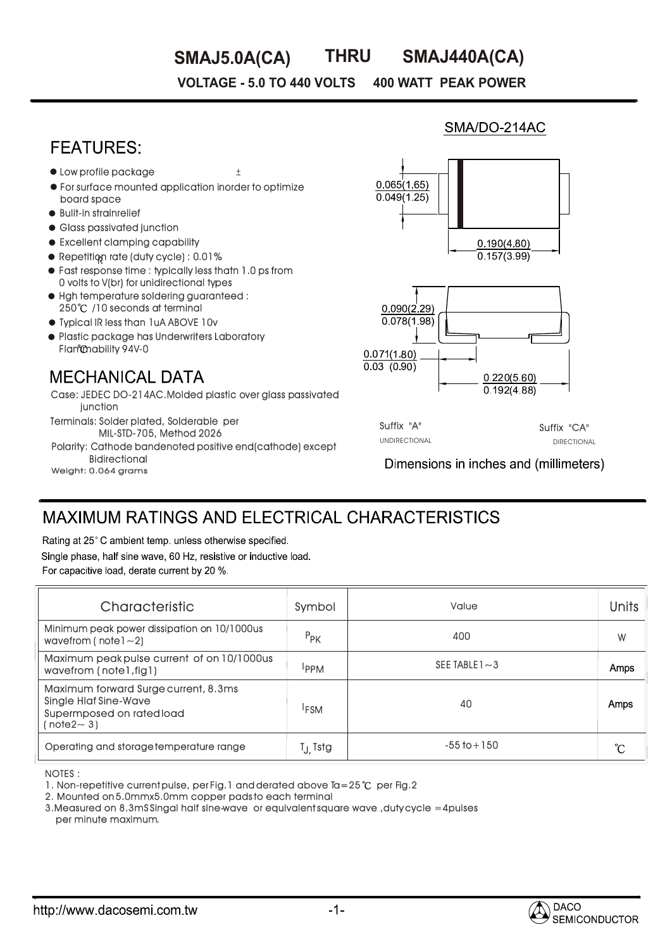#### **THRU SMAJ5.0A(CA) SMAJ440A(CA)**

### **VOLTAGE - 5.0 TO 440 VOLTS 400 WATT PEAK POWER**

# **FEATURES**

- Low profile package
- For surface mounted application inorder to optimize board space

 $\ddot{}$ 

- Bulit-in strainrelief
- **Glass passivated junction**
- Excellent clamping capability
- Repetitiq<sub>i</sub>n rate (duty cycle) : 0.01%
- **•** Fast response time : typically less thatn 1.0 ps from 0 volts to V(br) for unidirectional types
- Hgh temperature soldering guaranteed : 250°C /10 seconds at terminal
- Typical IR less than 1uA ABOVE 10v
- **Plastic package has Underwriters Laboratory** Flammability 94V-0

# **MECHANICAL DATA**

Case: JEDEC DO-214AC.Molded plastic over glass passivated junction Case: JEDEC DO-214AC.Molded plastic over glass passivated<br>junction<br>Terminals: Solder plated, Solderable per<br>MIL-STD-705, Method 2026<br>Polarity: Cathode bandenoted positive end(cathode) except

Terminals: Solder plated, Solderable per

MIL-STD-705, Method 2026

Weight: 0.064 grams **Bidirectional** 





Suffix "A" Suffix "CA"

UNDIRECTIONAL DIRECTIONAL

Dimensions in inches and (millimeters)

# **MAXIMUM RATINGS AND ELECTRICAL CHARACTERISTICS**

Rating at 25°C ambient temp. unless otherwise specified. Single phase, half sine wave, 60 Hz, resistive or inductive load. For capacitive load, derate current by 20 %.

| Characteristic                                                                                                         | Symbol              | <b>Value</b>      | <b>Units</b> |
|------------------------------------------------------------------------------------------------------------------------|---------------------|-------------------|--------------|
| Minimum peak power dissipation on 10/1000us<br>wavefrom ( $notel$ $\sim$ 2)                                            | $P_{PK}$            | 400               | W            |
| Maximum peak pulse current of on 10/1000us<br>wavefrom (note1,fig1)                                                    | <b>IPPM</b>         | SEE TABLE $1 - 3$ | Amps         |
| Maximum forward Surge current, 8.3ms<br><b>Single Hlaf Sine-Wave</b><br>Supermposed on rated load<br>note $2 \sim 3$ ) | <sup>I</sup> FSM    | 40                | Amps         |
| Operating and storage temperature range                                                                                | T <sub>J</sub> Tstg | $-55$ to $+150$   | °C           |

NOTES : :

1. Non-repetitive current pulse, per Fig.1 and derated above  $Ta = 25^{\circ}C$  per Fig.2

2. Mounted on 5.0mmx5.0mm copper pads to each terminal

3.Measured on 8.3mS Singal half sine-wave or equivalent square wave ,duty cycle =4pulses per minute maximum.

### http://www.dacosemi.com.tw

# SMA/DO-214AC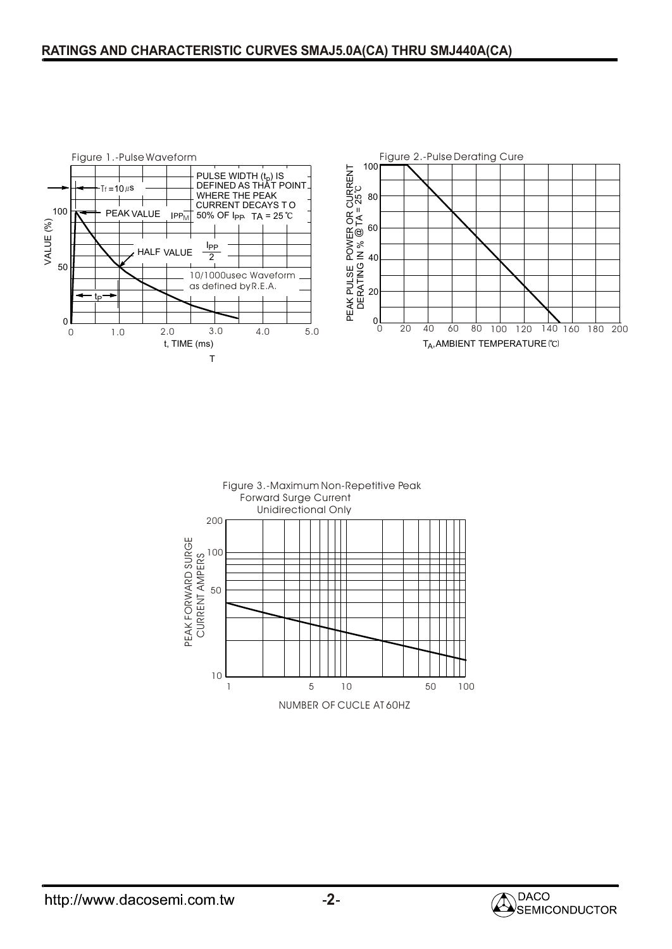### **RATINGS AND CHARACTERISTIC CURVES SMAJ5.0A(CA) THRU SMJ440A(CA)**





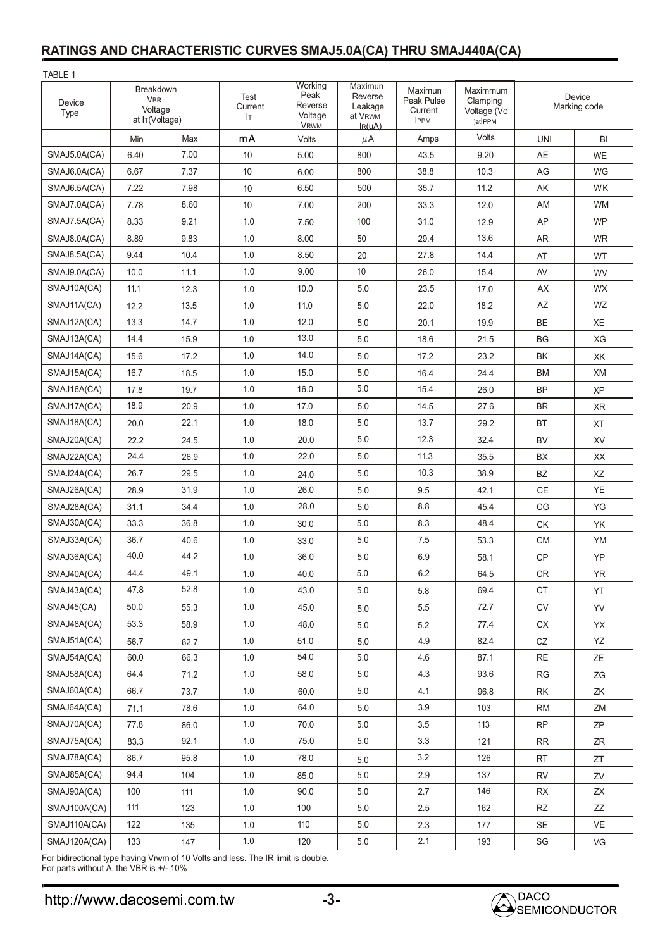### **RATINGS AND CHARACTERISTIC CURVES SMAJ5.0A(CA) THRU SMAJ440A(CA)**

| TABLE 1        |                                                      |      |                       |                                                      |                                                                |                                                 |                                                |                       |                        |
|----------------|------------------------------------------------------|------|-----------------------|------------------------------------------------------|----------------------------------------------------------------|-------------------------------------------------|------------------------------------------------|-----------------------|------------------------|
| Device<br>Type | Breakdown<br><b>VBR</b><br>Voltage<br>at IT(Voltage) |      | Test<br>Current<br>Iт | Working<br>Peak<br>Reverse<br>Voltage<br><b>VRWM</b> | Maximun<br>Reverse<br>Leakage<br>at V <sub>RWM</sub><br>IR(uA) | Maximun<br>Peak Pulse<br>Current<br><b>IPPM</b> | Maximmum<br>Clamping<br>Voltage (Vc<br>)atIPPM |                       | Device<br>Marking code |
|                | Min                                                  | Max  | mA                    | Volts                                                | $\mu$ A                                                        | Amps                                            | Volts                                          | <b>UNI</b>            | BI                     |
| SMAJ5.0A(CA)   | 6.40                                                 | 7.00 | 10                    | 5.00                                                 | 800                                                            | 43.5                                            | 9.20                                           | AE                    | WE                     |
| SMAJ6.0A(CA)   | 6.67                                                 | 7.37 | 10                    | 6.00                                                 | 800                                                            | 38.8                                            | 10.3                                           | AG                    | WG                     |
| SMAJ6.5A(CA)   | 7.22                                                 | 7.98 | 10                    | 6.50                                                 | 500                                                            | 35.7                                            | 11.2                                           | AK                    | <b>WK</b>              |
| SMAJ7.0A(CA)   | 7.78                                                 | 8.60 | 10                    | 7.00                                                 | 200                                                            | 33.3                                            | 12.0                                           | AM                    | WM                     |
| SMAJ7.5A(CA)   | 8.33                                                 | 9.21 | 1.0                   | 7.50                                                 | 100                                                            | 31.0                                            | 12.9                                           | AP                    | <b>WP</b>              |
| SMAJ8.0A(CA)   | 8.89                                                 | 9.83 | 1.0                   | 8.00                                                 | 50                                                             | 29.4                                            | 13.6                                           | AR                    | WR                     |
| SMAJ8.5A(CA)   | 9.44                                                 | 10.4 | 1.0                   | 8.50                                                 | 20                                                             | 27.8                                            | 14.4                                           | AT                    | WT                     |
| SMAJ9.0A(CA)   | 10.0                                                 | 11.1 | 1.0                   | 9.00                                                 | 10                                                             | 26.0                                            | 15.4                                           | AV                    | <b>WV</b>              |
| SMAJ10A(CA)    | 11.1                                                 | 12.3 | 1.0                   | 10.0                                                 | 5.0                                                            | 23.5                                            | 17.0                                           | AX                    | <b>WX</b>              |
| SMAJ11A(CA)    | 12.2                                                 | 13.5 | 1.0                   | 11.0                                                 | 5.0                                                            | 22.0                                            | 18.2                                           | AZ                    | WZ                     |
| SMAJ12A(CA)    | 13.3                                                 | 14.7 | 1.0                   | 12.0                                                 | 5.0                                                            | 20.1                                            | 19.9                                           | <b>BE</b>             | XE                     |
| SMAJ13A(CA)    | 14.4                                                 | 15.9 | 1.0                   | 13.0                                                 | 5.0                                                            | 18.6                                            | 21.5                                           | BG                    | XG                     |
| SMAJ14A(CA)    | 15.6                                                 | 17.2 | 1.0                   | 14.0                                                 | 5.0                                                            | 17.2                                            | 23.2                                           | BK                    | XK                     |
| SMAJ15A(CA)    | 16.7                                                 | 18.5 | 1.0                   | 15.0                                                 | 5.0                                                            | 16.4                                            | 24.4                                           | <b>BM</b>             | XM                     |
| SMAJ16A(CA)    | 17.8                                                 | 19.7 | 1.0                   | 16.0                                                 | 5.0                                                            | 15.4                                            | 26.0                                           | <b>BP</b>             | XP                     |
| SMAJ17A(CA)    | 18.9                                                 | 20.9 | 1.0                   | 17.0                                                 | 5.0                                                            | 14.5                                            | 27.6                                           | <b>BR</b>             | XR                     |
| SMAJ18A(CA)    | 20.0                                                 | 22.1 | 1.0                   | 18.0                                                 | 5.0                                                            | 13.7                                            | 29.2                                           | <b>BT</b>             | <b>XT</b>              |
| SMAJ20A(CA)    | 22.2                                                 | 24.5 | 1.0                   | 20.0                                                 | 5.0                                                            | 12.3                                            | 32.4                                           | <b>BV</b>             | XV                     |
| SMAJ22A(CA)    | 24.4                                                 | 26.9 | 1.0                   | 22.0                                                 | 5.0                                                            | 11.3                                            | 35.5                                           | BX                    | XX                     |
| SMAJ24A(CA)    | 26.7                                                 | 29.5 | 1.0                   | 24.0                                                 | 5.0                                                            | 10.3                                            | 38.9                                           | <b>BZ</b>             | XZ                     |
| SMAJ26A(CA)    | 28.9                                                 | 31.9 | 1.0                   | 26.0                                                 | 5.0                                                            | 9.5                                             | 42.1                                           | CE                    | YE.                    |
| SMAJ28A(CA)    | 31.1                                                 | 34.4 | 1.0                   | 28.0                                                 | 5.0                                                            | 8.8                                             | 45.4                                           | CG                    | YG                     |
| SMAJ30A(CA)    | 33.3                                                 | 36.8 | 1.0                   | 30.0                                                 | 5.0                                                            | 8.3                                             | 48.4                                           | <b>CK</b>             | YK                     |
| SMAJ33A(CA)    | 36.7                                                 | 40.6 | 1.0                   | 33.0                                                 | 5.0                                                            | 7.5                                             | 53.3                                           | <b>CM</b>             | <b>YM</b>              |
| SMAJ36A(CA)    | 40.0                                                 | 44.2 | 1.0                   | 36.0                                                 | 5.0                                                            | 6.9                                             | 58.1                                           | <b>CP</b>             | YP                     |
| SMAJ40A(CA)    | 44.4                                                 | 49.1 | $1.0\,$               | 40.0                                                 | $5.0\,$                                                        | $6.2\,$                                         | 64.5                                           | ${\sf CR}$            | YR                     |
| SMAJ43A(CA)    | 47.8                                                 | 52.8 | 1.0                   | 43.0                                                 | 5.0                                                            | 5.8                                             | 69.4                                           | CT                    | YT                     |
| SMAJ45(CA)     | 50.0                                                 | 55.3 | $1.0\,$               | 45.0                                                 | $5.0\,$                                                        | 5.5                                             | 72.7                                           | $\mathrm{CV}$         | YV                     |
| SMAJ48A(CA)    | 53.3                                                 | 58.9 | 1.0                   | 48.0                                                 | $5.0\,$                                                        | 5.2                                             | 77.4                                           | СX                    | YX                     |
| SMAJ51A(CA)    | 56.7                                                 | 62.7 | 1.0                   | 51.0                                                 | $5.0\,$                                                        | 4.9                                             | 82.4                                           | ${\rm CZ}$            | YZ                     |
| SMAJ54A(CA)    | 60.0                                                 | 66.3 | 1.0                   | 54.0                                                 | 5.0                                                            | 4.6                                             | 87.1                                           | RE                    | ΖE                     |
| SMAJ58A(CA)    | 64.4                                                 | 71.2 | 1.0                   | 58.0                                                 | $5.0\,$                                                        | 4.3                                             | 93.6                                           | <b>RG</b>             | ZG                     |
| SMAJ60A(CA)    | 66.7                                                 | 73.7 | 1.0                   | 60.0                                                 | 5.0                                                            | 4.1                                             | 96.8                                           | RK                    | ZK                     |
| SMAJ64A(CA)    | 71.1                                                 | 78.6 | 1.0                   | 64.0                                                 | $5.0\,$                                                        | 3.9                                             | 103                                            | <b>RM</b>             | ZM                     |
| SMAJ70A(CA)    | 77.8                                                 | 86.0 | 1.0                   | 70.0                                                 | 5.0                                                            | 3.5                                             | 113                                            | <b>RP</b>             | ΖP                     |
| SMAJ75A(CA)    | 83.3                                                 | 92.1 | 1.0                   | 75.0                                                 | $5.0\,$                                                        | 3.3                                             | 121                                            | <b>RR</b>             | ZR                     |
| SMAJ78A(CA)    | 86.7                                                 | 95.8 | 1.0                   | 78.0                                                 | $5.0\,$                                                        | $3.2\,$                                         | 126                                            | <b>RT</b>             | ΖT                     |
| SMAJ85A(CA)    | 94.4                                                 | 104  | 1.0                   | 85.0                                                 | $5.0\,$                                                        | 2.9                                             | 137                                            | <b>RV</b>             | ZV                     |
| SMAJ90A(CA)    | 100                                                  | 111  | $1.0\,$               | 90.0                                                 | 5.0                                                            | 2.7                                             | 146                                            | ${\sf RX}$            | ΖX                     |
| SMAJ100A(CA)   | 111                                                  | 123  | 1.0                   | 100                                                  | 5.0                                                            | 2.5                                             | 162                                            | <b>RZ</b>             | ZZ                     |
| SMAJ110A(CA)   | 122                                                  | 135  | $1.0\,$               | 110                                                  | $5.0\,$                                                        | 2.3                                             | 177                                            | SE                    | VE                     |
| SMAJ120A(CA)   | 133                                                  | 147  | $1.0\,$               | 120                                                  | $5.0\,$                                                        | 2.1                                             | 193                                            | $\mathbb S \mathbb G$ | VG                     |

For bidirectional type having Vrwm of 10 Volts and less. The IR limit is double. For parts without A, the VBR is +/- 10%